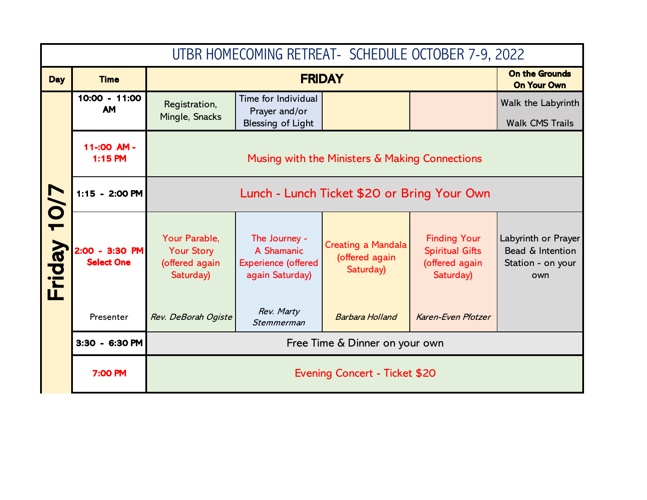|             | UTBR HOMECOMING RETREAT - SCHEDULE OCTOBER 7-9, 2022 |                                                                   |                                                                              |                                                          |                                                                              |                                                                     |  |
|-------------|------------------------------------------------------|-------------------------------------------------------------------|------------------------------------------------------------------------------|----------------------------------------------------------|------------------------------------------------------------------------------|---------------------------------------------------------------------|--|
| <b>Day</b>  | <b>Time</b>                                          | <b>FRIDAY</b>                                                     |                                                                              |                                                          | <b>On the Grounds</b><br><b>On Your Own</b>                                  |                                                                     |  |
|             | 10:00 - 11:00<br><b>AM</b>                           | Registration,<br>Mingle, Snacks                                   | Time for Individual<br>Prayer and/or<br><b>Blessing of Light</b>             |                                                          |                                                                              | Walk the Labyrinth<br><b>Walk CMS Trails</b>                        |  |
|             | 11-:00 AM-<br>$1:15$ PM                              |                                                                   |                                                                              | Musing with the Ministers & Making Connections           |                                                                              |                                                                     |  |
|             | 1:15 - 2:00 PM                                       |                                                                   |                                                                              |                                                          |                                                                              |                                                                     |  |
| Friday 10/7 | 2:00 - 3:30 PM<br><b>Select One</b>                  | Your Parable,<br><b>Your Story</b><br>(offered again<br>Saturday) | The Journey -<br>A Shamanic<br><b>Experience (offered</b><br>again Saturday) | <b>Creating a Mandala</b><br>(offered again<br>Saturday) | <b>Finding Your</b><br><b>Spiritual Gifts</b><br>(offered again<br>Saturday) | Labyrinth or Prayer<br>Bead & Intention<br>Station - on your<br>own |  |
|             | Presenter                                            | Rev. DeBorah Ogiste                                               | Rev. Marty<br>Stemmerman                                                     | <b>Barbara Holland</b>                                   | Karen-Even Pfotzer                                                           |                                                                     |  |
|             | 3:30 - 6:30 PM                                       |                                                                   |                                                                              |                                                          |                                                                              |                                                                     |  |
|             | 7:00 PM<br>Evening Concert - Ticket \$20             |                                                                   |                                                                              |                                                          |                                                                              |                                                                     |  |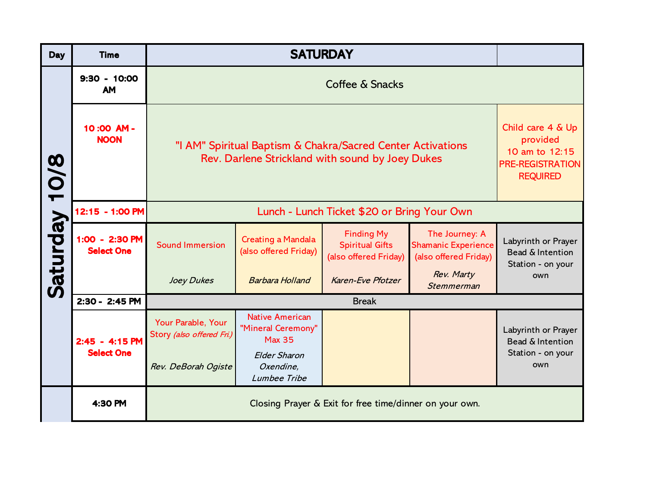| <b>Day</b>    | <b>Time</b>                         | <b>SATURDAY</b>                                                                                                 |                                                                                               |                                                                      |                                                                       |                                                              |
|---------------|-------------------------------------|-----------------------------------------------------------------------------------------------------------------|-----------------------------------------------------------------------------------------------|----------------------------------------------------------------------|-----------------------------------------------------------------------|--------------------------------------------------------------|
| Saturday 10/8 | $9:30 - 10:00$<br><b>AM</b>         |                                                                                                                 |                                                                                               |                                                                      |                                                                       |                                                              |
|               | 10:00 AM-<br><b>NOON</b>            | "I AM" Spiritual Baptism & Chakra/Sacred Center Activations<br>Rev. Darlene Strickland with sound by Joey Dukes | Child care 4 & Up<br>provided<br>10 am to 12:15<br><b>PRE-REGISTRATION</b><br><b>REQUIRED</b> |                                                                      |                                                                       |                                                              |
|               | 12:15 - 1:00 PM                     |                                                                                                                 |                                                                                               |                                                                      |                                                                       |                                                              |
|               | 1:00 - 2:30 PM<br><b>Select One</b> | <b>Sound Immersion</b>                                                                                          | <b>Creating a Mandala</b><br>(also offered Friday)                                            | <b>Finding My</b><br><b>Spiritual Gifts</b><br>(also offered Friday) | The Journey: A<br><b>Shamanic Experience</b><br>(also offered Friday) | Labyrinth or Prayer<br>Bead & Intention<br>Station - on your |
|               |                                     | Joey Dukes                                                                                                      | <b>Barbara Holland</b>                                                                        | Karen-Eve Pfotzer                                                    | Rev. Marty<br>Stemmerman                                              | own                                                          |
|               | 2:30 - 2:45 PM                      | <b>Break</b>                                                                                                    |                                                                                               |                                                                      |                                                                       |                                                              |
|               | 2:45 - 4:15 PM<br><b>Select One</b> | Your Parable, Your<br>Story (also offered Fri.)                                                                 | <b>Native American</b><br>"Mineral Ceremony"<br><b>Max 35</b>                                 |                                                                      |                                                                       | Labyrinth or Prayer<br>Bead & Intention                      |
|               |                                     | Rev. DeBorah Ogiste                                                                                             | <b>Elder Sharon</b><br>Oxendine,<br>Lumbee Tribe                                              |                                                                      |                                                                       | Station - on your<br>own                                     |
|               | 4:30 PM                             | Closing Prayer & Exit for free time/dinner on your own.                                                         |                                                                                               |                                                                      |                                                                       |                                                              |